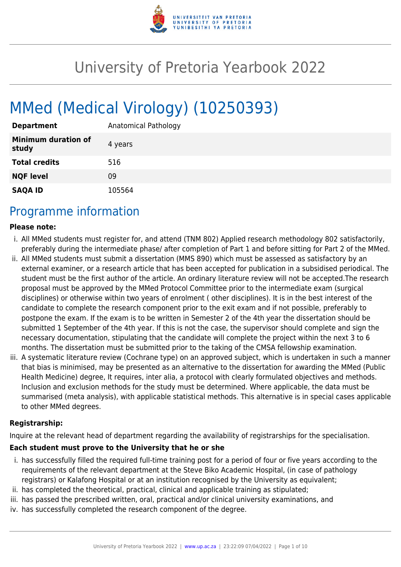

# University of Pretoria Yearbook 2022

# MMed (Medical Virology) (10250393)

| <b>Department</b>                   | Anatomical Pathology |
|-------------------------------------|----------------------|
| <b>Minimum duration of</b><br>study | 4 years              |
| <b>Total credits</b>                | 516                  |
| <b>NQF level</b>                    | 09                   |
| <b>SAQA ID</b>                      | 105564               |

# Programme information

#### **Please note:**

- i. All MMed students must register for, and attend (TNM 802) Applied research methodology 802 satisfactorily, preferably during the intermediate phase/ after completion of Part 1 and before sitting for Part 2 of the MMed.
- ii. All MMed students must submit a dissertation (MMS 890) which must be assessed as satisfactory by an external examiner, or a research article that has been accepted for publication in a subsidised periodical. The student must be the first author of the article. An ordinary literature review will not be accepted.The research proposal must be approved by the MMed Protocol Committee prior to the intermediate exam (surgical disciplines) or otherwise within two years of enrolment ( other disciplines). It is in the best interest of the candidate to complete the research component prior to the exit exam and if not possible, preferably to postpone the exam. If the exam is to be written in Semester 2 of the 4th year the dissertation should be submitted 1 September of the 4th year. If this is not the case, the supervisor should complete and sign the necessary documentation, stipulating that the candidate will complete the project within the next 3 to 6 months. The dissertation must be submitted prior to the taking of the CMSA fellowship examination.
- iii. A systematic literature review (Cochrane type) on an approved subject, which is undertaken in such a manner that bias is minimised, may be presented as an alternative to the dissertation for awarding the MMed (Public Health Medicine) degree, It requires, inter alia, a protocol with clearly formulated objectives and methods. Inclusion and exclusion methods for the study must be determined. Where applicable, the data must be summarised (meta analysis), with applicable statistical methods. This alternative is in special cases applicable to other MMed degrees.

#### **Registrarship:**

Inquire at the relevant head of department regarding the availability of registrarships for the specialisation.

#### **Each student must prove to the University that he or she**

- i. has successfully filled the required full-time training post for a period of four or five years according to the requirements of the relevant department at the Steve Biko Academic Hospital, (in case of pathology registrars) or Kalafong Hospital or at an institution recognised by the University as equivalent;
- ii. has completed the theoretical, practical, clinical and applicable training as stipulated;
- iii. has passed the prescribed written, oral, practical and/or clinical university examinations, and
- iv. has successfully completed the research component of the degree.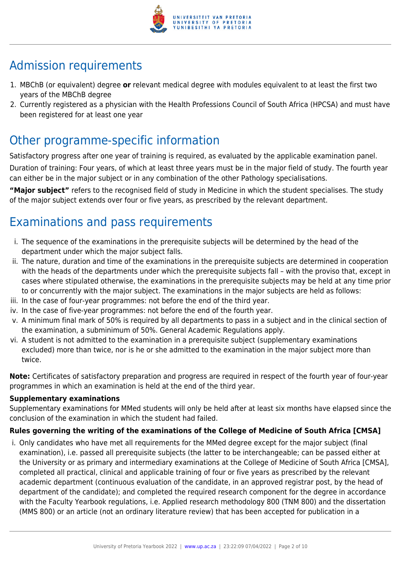

# Admission requirements

- 1. MBChB (or equivalent) degree **or** relevant medical degree with modules equivalent to at least the first two years of the MBChB degree
- 2. Currently registered as a physician with the Health Professions Council of South Africa (HPCSA) and must have been registered for at least one year

# Other programme-specific information

Satisfactory progress after one year of training is required, as evaluated by the applicable examination panel. Duration of training: Four years, of which at least three years must be in the major field of study. The fourth year can either be in the major subject or in any combination of the other Pathology specialisations.

**"Major subject"** refers to the recognised field of study in Medicine in which the student specialises. The study of the major subject extends over four or five years, as prescribed by the relevant department.

# Examinations and pass requirements

- i. The sequence of the examinations in the prerequisite subjects will be determined by the head of the department under which the major subject falls.
- ii. The nature, duration and time of the examinations in the prerequisite subjects are determined in cooperation with the heads of the departments under which the prerequisite subjects fall – with the proviso that, except in cases where stipulated otherwise, the examinations in the prerequisite subjects may be held at any time prior to or concurrently with the major subject. The examinations in the major subjects are held as follows:
- iii. In the case of four-year programmes: not before the end of the third year.
- iv. In the case of five-year programmes: not before the end of the fourth year.
- v. A minimum final mark of 50% is required by all departments to pass in a subject and in the clinical section of the examination, a subminimum of 50%. General Academic Regulations apply.
- vi. A student is not admitted to the examination in a prerequisite subject (supplementary examinations excluded) more than twice, nor is he or she admitted to the examination in the major subject more than twice.

**Note:** Certificates of satisfactory preparation and progress are required in respect of the fourth year of four-year programmes in which an examination is held at the end of the third year.

#### **Supplementary examinations**

Supplementary examinations for MMed students will only be held after at least six months have elapsed since the conclusion of the examination in which the student had failed.

#### **Rules governing the writing of the examinations of the College of Medicine of South Africa [CMSA]**

i. Only candidates who have met all requirements for the MMed degree except for the major subject (final examination), i.e. passed all prerequisite subjects (the latter to be interchangeable; can be passed either at the University or as primary and intermediary examinations at the College of Medicine of South Africa [CMSA], completed all practical, clinical and applicable training of four or five years as prescribed by the relevant academic department (continuous evaluation of the candidate, in an approved registrar post, by the head of department of the candidate); and completed the required research component for the degree in accordance with the Faculty Yearbook regulations, i.e. Applied research methodology 800 (TNM 800) and the dissertation (MMS 800) or an article (not an ordinary literature review) that has been accepted for publication in a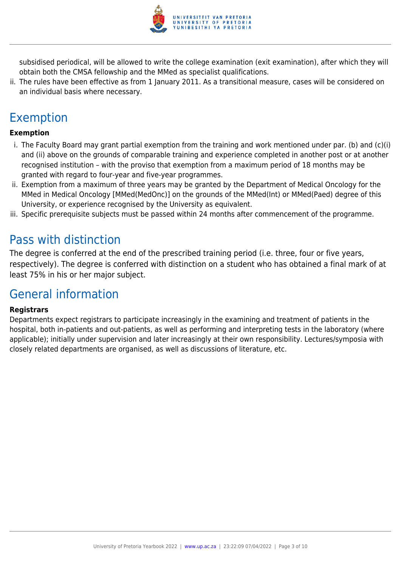

subsidised periodical, will be allowed to write the college examination (exit examination), after which they will obtain both the CMSA fellowship and the MMed as specialist qualifications.

ii. The rules have been effective as from 1 January 2011. As a transitional measure, cases will be considered on an individual basis where necessary.

# Exemption

#### **Exemption**

- i. The Faculty Board may grant partial exemption from the training and work mentioned under par. (b) and (c)(i) and (ii) above on the grounds of comparable training and experience completed in another post or at another recognised institution – with the proviso that exemption from a maximum period of 18 months may be granted with regard to four-year and five-year programmes.
- ii. Exemption from a maximum of three years may be granted by the Department of Medical Oncology for the MMed in Medical Oncology [MMed(MedOnc)] on the grounds of the MMed(Int) or MMed(Paed) degree of this University, or experience recognised by the University as equivalent.
- iii. Specific prerequisite subjects must be passed within 24 months after commencement of the programme.

# Pass with distinction

The degree is conferred at the end of the prescribed training period (i.e. three, four or five years, respectively). The degree is conferred with distinction on a student who has obtained a final mark of at least 75% in his or her major subject.

# General information

#### **Registrars**

Departments expect registrars to participate increasingly in the examining and treatment of patients in the hospital, both in-patients and out-patients, as well as performing and interpreting tests in the laboratory (where applicable); initially under supervision and later increasingly at their own responsibility. Lectures/symposia with closely related departments are organised, as well as discussions of literature, etc.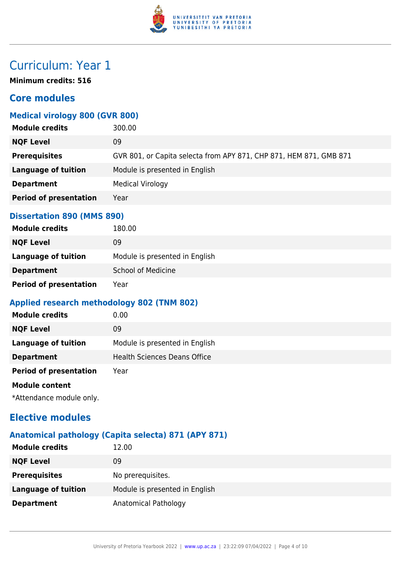

# Curriculum: Year 1

**Minimum credits: 516**

### **Core modules**

#### **Medical virology 800 (GVR 800)**

| <b>Module credits</b>         | 300.00                                                             |
|-------------------------------|--------------------------------------------------------------------|
| <b>NQF Level</b>              | 09                                                                 |
| <b>Prerequisites</b>          | GVR 801, or Capita selecta from APY 871, CHP 871, HEM 871, GMB 871 |
| <b>Language of tuition</b>    | Module is presented in English                                     |
| <b>Department</b>             | <b>Medical Virology</b>                                            |
| <b>Period of presentation</b> | Year                                                               |
|                               |                                                                    |

#### **Dissertation 890 (MMS 890)**

| <b>Module credits</b>         | 180.00                         |
|-------------------------------|--------------------------------|
| <b>NQF Level</b>              | 09                             |
| Language of tuition           | Module is presented in English |
| <b>Department</b>             | <b>School of Medicine</b>      |
| <b>Period of presentation</b> | Year                           |

#### **Applied research methodology 802 (TNM 802)**

| <b>Module credits</b>         | 0.00                                |
|-------------------------------|-------------------------------------|
| <b>NQF Level</b>              | 09                                  |
| Language of tuition           | Module is presented in English      |
| <b>Department</b>             | <b>Health Sciences Deans Office</b> |
| <b>Period of presentation</b> | Year                                |
| <b>Module content</b>         |                                     |
|                               |                                     |

\*Attendance module only.

# **Elective modules**

### **Anatomical pathology (Capita selecta) 871 (APY 871)**

| <b>Module credits</b>      | 12.00                          |
|----------------------------|--------------------------------|
| <b>NQF Level</b>           | 09                             |
| <b>Prerequisites</b>       | No prerequisites.              |
| <b>Language of tuition</b> | Module is presented in English |
| <b>Department</b>          | Anatomical Pathology           |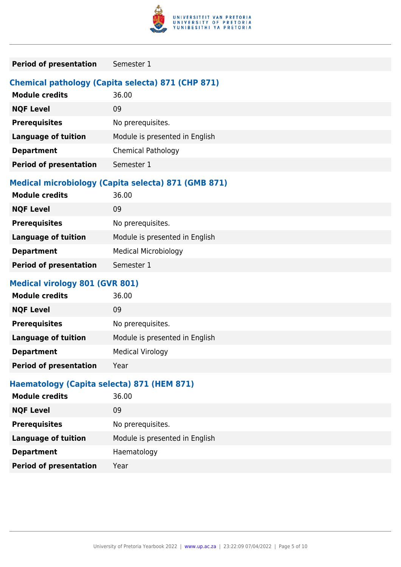

| <b>Period of presentation</b><br>Semester 1 |  |
|---------------------------------------------|--|
|---------------------------------------------|--|

#### **Chemical pathology (Capita selecta) 871 (CHP 871)**

| <b>Module credits</b>         | 36.00                          |
|-------------------------------|--------------------------------|
| <b>NQF Level</b>              | 09                             |
| <b>Prerequisites</b>          | No prerequisites.              |
| <b>Language of tuition</b>    | Module is presented in English |
| <b>Department</b>             | <b>Chemical Pathology</b>      |
| <b>Period of presentation</b> | Semester 1                     |

### **Medical microbiology (Capita selecta) 871 (GMB 871)**

| <b>NQF Level</b><br>09<br><b>Prerequisites</b><br>No prerequisites.<br>Module is presented in English<br><b>Language of tuition</b> | <b>Module credits</b> | 36.00                       |
|-------------------------------------------------------------------------------------------------------------------------------------|-----------------------|-----------------------------|
|                                                                                                                                     |                       |                             |
|                                                                                                                                     |                       |                             |
|                                                                                                                                     |                       |                             |
|                                                                                                                                     | <b>Department</b>     | <b>Medical Microbiology</b> |
| <b>Period of presentation</b><br>Semester 1                                                                                         |                       |                             |

#### **Medical virology 801 (GVR 801)**

| <b>Module credits</b>         | 36.00                          |
|-------------------------------|--------------------------------|
| <b>NQF Level</b>              | 09                             |
| <b>Prerequisites</b>          | No prerequisites.              |
| <b>Language of tuition</b>    | Module is presented in English |
| <b>Department</b>             | <b>Medical Virology</b>        |
| <b>Period of presentation</b> | Year                           |

### **Haematology (Capita selecta) 871 (HEM 871)**

| <b>Module credits</b>         | 36.00                          |
|-------------------------------|--------------------------------|
| <b>NQF Level</b>              | 09                             |
| <b>Prerequisites</b>          | No prerequisites.              |
| <b>Language of tuition</b>    | Module is presented in English |
| <b>Department</b>             | Haematology                    |
| <b>Period of presentation</b> | Year                           |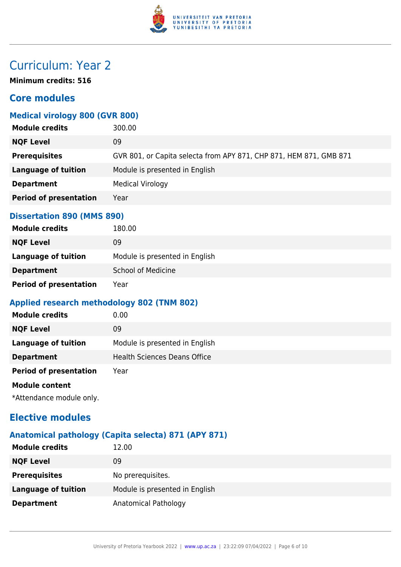

# Curriculum: Year 2

**Minimum credits: 516**

## **Core modules**

### **Medical virology 800 (GVR 800)**

| <b>Module credits</b>         | 300.00                                                             |
|-------------------------------|--------------------------------------------------------------------|
| <b>NQF Level</b>              | 09                                                                 |
| <b>Prerequisites</b>          | GVR 801, or Capita selecta from APY 871, CHP 871, HEM 871, GMB 871 |
| <b>Language of tuition</b>    | Module is presented in English                                     |
| <b>Department</b>             | <b>Medical Virology</b>                                            |
| <b>Period of presentation</b> | Year                                                               |
|                               |                                                                    |

#### **Dissertation 890 (MMS 890)**

| <b>Module credits</b>         | 180.00                         |
|-------------------------------|--------------------------------|
| <b>NQF Level</b>              | 09                             |
| Language of tuition           | Module is presented in English |
| <b>Department</b>             | <b>School of Medicine</b>      |
| <b>Period of presentation</b> | Year                           |

#### **Applied research methodology 802 (TNM 802)**

| <b>Module credits</b>         | 0.00                                |
|-------------------------------|-------------------------------------|
| <b>NQF Level</b>              | 09                                  |
| Language of tuition           | Module is presented in English      |
| <b>Department</b>             | <b>Health Sciences Deans Office</b> |
| <b>Period of presentation</b> | Year                                |
| <b>Module content</b>         |                                     |
|                               |                                     |

\*Attendance module only.

# **Elective modules**

### **Anatomical pathology (Capita selecta) 871 (APY 871)**

| <b>Module credits</b>      | 12.00                          |
|----------------------------|--------------------------------|
| <b>NQF Level</b>           | 09                             |
| <b>Prerequisites</b>       | No prerequisites.              |
| <b>Language of tuition</b> | Module is presented in English |
| <b>Department</b>          | Anatomical Pathology           |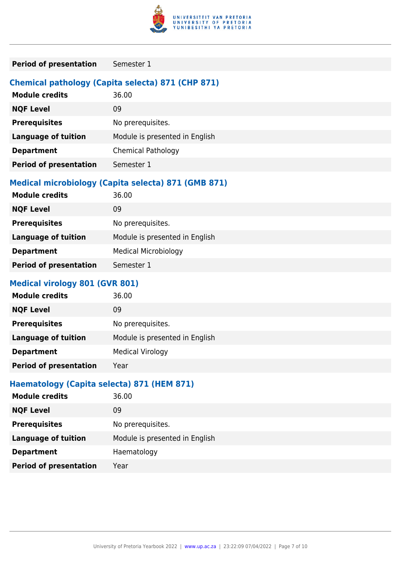

| <b>Period of presentation</b><br>Semester 1 |  |
|---------------------------------------------|--|
|---------------------------------------------|--|

#### **Chemical pathology (Capita selecta) 871 (CHP 871)**

| <b>Module credits</b>         | 36.00                          |
|-------------------------------|--------------------------------|
| <b>NQF Level</b>              | 09                             |
| <b>Prerequisites</b>          | No prerequisites.              |
| <b>Language of tuition</b>    | Module is presented in English |
| <b>Department</b>             | <b>Chemical Pathology</b>      |
| <b>Period of presentation</b> | Semester 1                     |

### **Medical microbiology (Capita selecta) 871 (GMB 871)**

| <b>Module credits</b>         | 36.00                          |
|-------------------------------|--------------------------------|
| <b>NQF Level</b>              | 09                             |
| <b>Prerequisites</b>          | No prerequisites.              |
| <b>Language of tuition</b>    | Module is presented in English |
| <b>Department</b>             | <b>Medical Microbiology</b>    |
| <b>Period of presentation</b> | Semester 1                     |
|                               |                                |

#### **Medical virology 801 (GVR 801)**

| <b>Module credits</b>         | 36.00                          |
|-------------------------------|--------------------------------|
| <b>NQF Level</b>              | 09                             |
| <b>Prerequisites</b>          | No prerequisites.              |
| <b>Language of tuition</b>    | Module is presented in English |
| <b>Department</b>             | <b>Medical Virology</b>        |
| <b>Period of presentation</b> | Year                           |

### **Haematology (Capita selecta) 871 (HEM 871)**

| <b>Module credits</b>         | 36.00                          |
|-------------------------------|--------------------------------|
| <b>NQF Level</b>              | 09                             |
| <b>Prerequisites</b>          | No prerequisites.              |
| <b>Language of tuition</b>    | Module is presented in English |
| <b>Department</b>             | Haematology                    |
| <b>Period of presentation</b> | Year                           |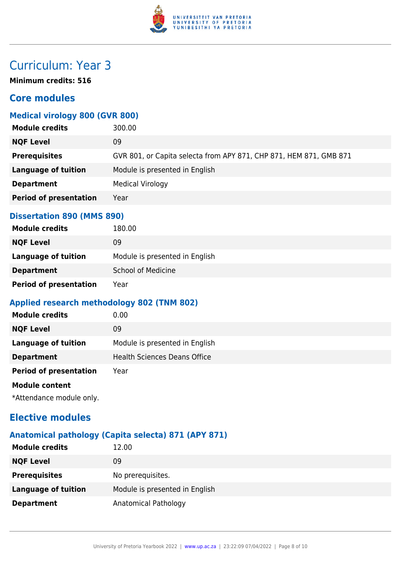

# Curriculum: Year 3

**Minimum credits: 516**

## **Core modules**

### **Medical virology 800 (GVR 800)**

| <b>Module credits</b>         | 300.00                                                             |
|-------------------------------|--------------------------------------------------------------------|
| <b>NQF Level</b>              | 09                                                                 |
| <b>Prerequisites</b>          | GVR 801, or Capita selecta from APY 871, CHP 871, HEM 871, GMB 871 |
| <b>Language of tuition</b>    | Module is presented in English                                     |
| <b>Department</b>             | <b>Medical Virology</b>                                            |
| <b>Period of presentation</b> | Year                                                               |
|                               |                                                                    |

#### **Dissertation 890 (MMS 890)**

| <b>Module credits</b>         | 180.00                         |
|-------------------------------|--------------------------------|
| <b>NQF Level</b>              | 09                             |
| Language of tuition           | Module is presented in English |
| <b>Department</b>             | <b>School of Medicine</b>      |
| <b>Period of presentation</b> | Year                           |

#### **Applied research methodology 802 (TNM 802)**

| <b>Module credits</b>         | 0.00                                |
|-------------------------------|-------------------------------------|
| <b>NQF Level</b>              | 09                                  |
| Language of tuition           | Module is presented in English      |
| <b>Department</b>             | <b>Health Sciences Deans Office</b> |
| <b>Period of presentation</b> | Year                                |
| <b>Module content</b>         |                                     |
|                               |                                     |

\*Attendance module only.

# **Elective modules**

### **Anatomical pathology (Capita selecta) 871 (APY 871)**

| <b>Module credits</b>      | 12.00                          |
|----------------------------|--------------------------------|
| <b>NQF Level</b>           | 09                             |
| <b>Prerequisites</b>       | No prerequisites.              |
| <b>Language of tuition</b> | Module is presented in English |
| <b>Department</b>          | Anatomical Pathology           |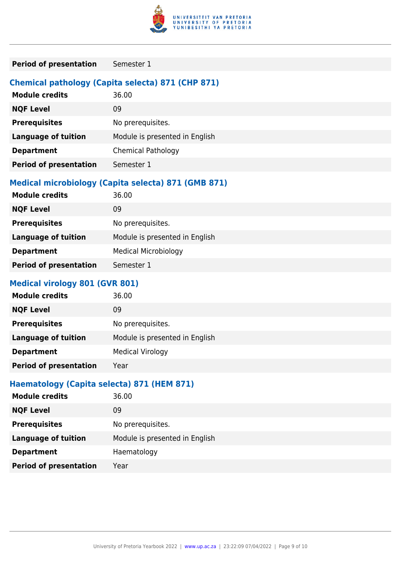

| <b>Period of presentation</b><br>Semester 1 |  |
|---------------------------------------------|--|
|---------------------------------------------|--|

#### **Chemical pathology (Capita selecta) 871 (CHP 871)**

| <b>Module credits</b>         | 36.00                          |
|-------------------------------|--------------------------------|
| <b>NQF Level</b>              | 09                             |
| <b>Prerequisites</b>          | No prerequisites.              |
| <b>Language of tuition</b>    | Module is presented in English |
| <b>Department</b>             | <b>Chemical Pathology</b>      |
| <b>Period of presentation</b> | Semester 1                     |

### **Medical microbiology (Capita selecta) 871 (GMB 871)**

| <b>Module credits</b>         | 36.00                          |
|-------------------------------|--------------------------------|
| <b>NQF Level</b>              | 09                             |
| <b>Prerequisites</b>          | No prerequisites.              |
| <b>Language of tuition</b>    | Module is presented in English |
| <b>Department</b>             | <b>Medical Microbiology</b>    |
| <b>Period of presentation</b> | Semester 1                     |
|                               |                                |

#### **Medical virology 801 (GVR 801)**

| <b>Module credits</b>         | 36.00                          |
|-------------------------------|--------------------------------|
| <b>NQF Level</b>              | 09                             |
| <b>Prerequisites</b>          | No prerequisites.              |
| <b>Language of tuition</b>    | Module is presented in English |
| <b>Department</b>             | <b>Medical Virology</b>        |
| <b>Period of presentation</b> | Year                           |

### **Haematology (Capita selecta) 871 (HEM 871)**

| <b>Module credits</b>         | 36.00                          |
|-------------------------------|--------------------------------|
| <b>NQF Level</b>              | 09                             |
| <b>Prerequisites</b>          | No prerequisites.              |
| <b>Language of tuition</b>    | Module is presented in English |
| <b>Department</b>             | Haematology                    |
| <b>Period of presentation</b> | Year                           |